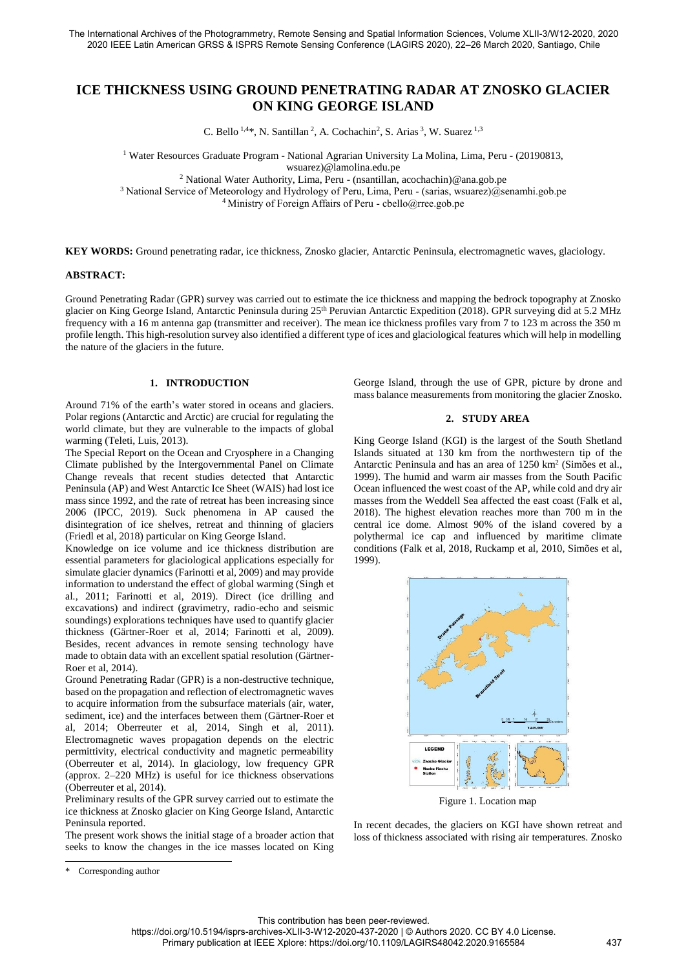# **ICE THICKNESS USING GROUND PENETRATING RADAR AT ZNOSKO GLACIER ON KING GEORGE ISLAND**

C. Bello  $^{1,4*}$ , N. Santillan<sup>2</sup>, A. Cochachin<sup>2</sup>, S. Arias<sup>3</sup>, W. Suarez  $^{1,3}$ 

1 Water Resources Graduate Program - National Agrarian University La Molina, Lima, Peru - (20190813, wsuarez)@lamolina.edu.pe 2 National Water Authority, Lima, Peru - (nsantillan, acochachin)@ana.gob.pe

3 National Service of Meteorology and Hydrology of Peru, Lima, Peru - (sarias, wsuarez)@senamhi.gob.pe

<sup>4</sup>Ministry of Foreign Affairs of Peru - cbello@rree.gob.pe

**KEY WORDS:** Ground penetrating radar, ice thickness, Znosko glacier, Antarctic Peninsula, electromagnetic waves, glaciology.

## **ABSTRACT:**

Ground Penetrating Radar (GPR) survey was carried out to estimate the ice thickness and mapping the bedrock topography at Znosko glacier on King George Island, Antarctic Peninsula during 25<sup>th</sup> Peruvian Antarctic Expedition (2018). GPR surveying did at 5.2 MHz frequency with a 16 m antenna gap (transmitter and receiver). The mean ice thickness profiles vary from 7 to 123 m across the 350 m profile length. This high-resolution survey also identified a different type of ices and glaciological features which will help in modelling the nature of the glaciers in the future.

# **1. INTRODUCTION**

Around 71% of the earth's water stored in oceans and glaciers. Polar regions (Antarctic and Arctic) are crucial for regulating the world climate, but they are vulnerable to the impacts of global warming (Teleti, Luis, 2013).

The Special Report on the Ocean and Cryosphere in a Changing Climate published by the Intergovernmental Panel on Climate Change reveals that recent studies detected that Antarctic Peninsula (AP) and West Antarctic Ice Sheet (WAIS) had lost ice mass since 1992, and the rate of retreat has been increasing since 2006 (IPCC, 2019). Suck phenomena in AP caused the disintegration of ice shelves, retreat and thinning of glaciers (Friedl et al, 2018) particular on King George Island.

Knowledge on ice volume and ice thickness distribution are essential parameters for glaciological applications especially for simulate glacier dynamics (Farinotti et al*,* 2009) and may provide information to understand the effect of global warming (Singh et al*.,* 2011; Farinotti et al, 2019). Direct (ice drilling and excavations) and indirect (gravimetry, radio-echo and seismic soundings) explorations techniques have used to quantify glacier thickness (Gärtner-Roer et al, 2014; Farinotti et al*,* 2009). Besides, recent advances in remote sensing technology have made to obtain data with an excellent spatial resolution (Gärtner-Roer et al, 2014).

Ground Penetrating Radar (GPR) is a non-destructive technique, based on the propagation and reflection of electromagnetic waves to acquire information from the subsurface materials (air, water, sediment, ice) and the interfaces between them (Gärtner-Roer et al, 2014; Oberreuter et al, 2014, Singh et al, 2011). Electromagnetic waves propagation depends on the electric permittivity, electrical conductivity and magnetic permeability (Oberreuter et al, 2014). In glaciology, low frequency GPR (approx. 2–220 MHz) is useful for ice thickness observations (Oberreuter et al, 2014).

Preliminary results of the GPR survey carried out to estimate the ice thickness at Znosko glacier on King George Island, Antarctic Peninsula reported.

The present work shows the initial stage of a broader action that seeks to know the changes in the ice masses located on King

#### **2. STUDY AREA**

King George Island (KGI) is the largest of the South Shetland Islands situated at 130 km from the northwestern tip of the Antarctic Peninsula and has an area of 1250 km<sup>2</sup> (Simões et al., 1999). The humid and warm air masses from the South Pacific Ocean influenced the west coast of the AP, while cold and dry air masses from the Weddell Sea affected the east coast (Falk et al, 2018). The highest elevation reaches more than 700 m in the central ice dome. Almost 90% of the island covered by a polythermal ice cap and influenced by maritime climate conditions (Falk et al, 2018, Ruckamp et al*,* 2010, Simões et al, 1999).



Figure 1. Location map

In recent decades, the glaciers on KGI have shown retreat and loss of thickness associated with rising air temperatures. Znosko

1

https://doi.org/10.5194/isprs-archives-XLII-3-W12-2020-437-2020 | © Authors 2020. CC BY 4.0 License.

George Island, through the use of GPR, picture by drone and mass balance measurements from monitoring the glacier Znosko.

Corresponding author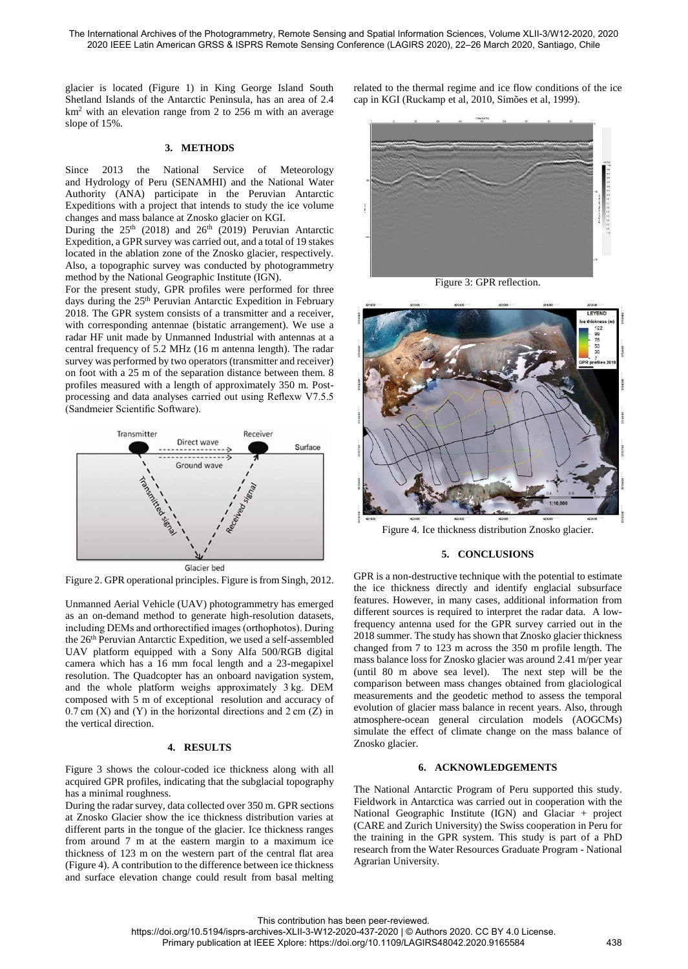glacier is located (Figure 1) in King George Island South Shetland Islands of the Antarctic Peninsula, has an area of 2.4 km<sup>2</sup> with an elevation range from 2 to 256 m with an average slope of 15%.

## **3. METHODS**

Since 2013 the National Service of Meteorology and Hydrology of Peru (SENAMHI) and the National Water Authority (ANA) participate in the Peruvian Antarctic Expeditions with a project that intends to study the ice volume changes and mass balance at Znosko glacier on KGI.

During the  $25<sup>th</sup>$  (2018) and  $26<sup>th</sup>$  (2019) Peruvian Antarctic Expedition, a GPR survey was carried out, and a total of 19 stakes located in the ablation zone of the Znosko glacier, respectively. Also, a topographic survey was conducted by photogrammetry method by the National Geographic Institute (IGN).

For the present study, GPR profiles were performed for three days during the 25<sup>th</sup> Peruvian Antarctic Expedition in February 2018. The GPR system consists of a transmitter and a receiver, with corresponding antennae (bistatic arrangement). We use a radar HF unit made by Unmanned Industrial with antennas at a central frequency of 5.2 MHz (16 m antenna length). The radar survey was performed by two operators (transmitter and receiver) on foot with a 25 m of the separation distance between them. 8 profiles measured with a length of approximately 350 m. Postprocessing and data analyses carried out using Reflexw V7.5.5 (Sandmeier Scientific Software).



Figure 2. GPR operational principles. Figure is from Singh, 2012.

Unmanned Aerial Vehicle (UAV) photogrammetry has emerged as an on-demand method to generate high-resolution datasets, including DEMs and orthorectified images (orthophotos). During the 26<sup>th</sup> Peruvian Antarctic Expedition, we used a self-assembled UAV platform equipped with a Sony Alfa 500/RGB digital camera which has a 16 mm focal length and a 23-megapixel resolution. The Quadcopter has an onboard navigation system, and the whole platform weighs approximately 3 kg. DEM composed with 5 m of exceptional resolution and accuracy of  $0.7$  cm  $(X)$  and  $(Y)$  in the horizontal directions and  $2$  cm  $(Z)$  in the vertical direction.

#### **4. RESULTS**

Figure 3 shows the colour-coded ice thickness along with all acquired GPR profiles, indicating that the subglacial topography has a minimal roughness.

During the radar survey, data collected over 350 m. GPR sections at Znosko Glacier show the ice thickness distribution varies at different parts in the tongue of the glacier. Ice thickness ranges from around 7 m at the eastern margin to a maximum ice thickness of 123 m on the western part of the central flat area (Figure 4). A contribution to the difference between ice thickness and surface elevation change could result from basal melting related to the thermal regime and ice flow conditions of the ice cap in KGI (Ruckamp et al, 2010, Simões et al, 1999).



Figure 3: GPR reflection.



Figure 4. Ice thickness distribution Znosko glacier.

### **5. CONCLUSIONS**

GPR is a non-destructive technique with the potential to estimate the ice thickness directly and identify englacial subsurface features. However, in many cases, additional information from different sources is required to interpret the radar data. A lowfrequency antenna used for the GPR survey carried out in the 2018 summer. The study has shown that Znosko glacier thickness changed from 7 to 123 m across the 350 m profile length. The mass balance loss for Znosko glacier was around 2.41 m/per year (until 80 m above sea level). The next step will be the comparison between mass changes obtained from glaciological measurements and the geodetic method to assess the temporal evolution of glacier mass balance in recent years. Also, through atmosphere-ocean general circulation models (AOGCMs) simulate the effect of climate change on the mass balance of Znosko glacier.

#### **6. ACKNOWLEDGEMENTS**

The National Antarctic Program of Peru supported this study. Fieldwork in Antarctica was carried out in cooperation with the National Geographic Institute (IGN) and Glaciar + project (CARE and Zurich University) the Swiss cooperation in Peru for the training in the GPR system. This study is part of a PhD research from the Water Resources Graduate Program - National Agrarian University.